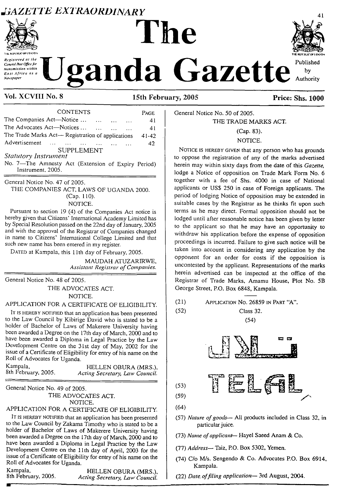## *GAZETTE EXTRAORDINARY* <sup>41</sup> **The**





# Resistered of the **Teach and Concept and the Department concept in and Concept and Concept and Concept and Concept and Concept and Concept and Concept and Concept and Concept and Concept and Concept and Concept and Concept**

## **Vol. XCVIII No. <sup>8</sup> 15th February, 2005 Price: Shs. 1000**

| <b>CONTENTS</b>                                   | PAGE  |
|---------------------------------------------------|-------|
| The Companies Act—Notice<br>$\ddotsc$             | 41    |
| The Advocates Act-Notices                         | 41    |
| The Trade Marks Act- Registration of applications | 41-42 |
| Advertisement                                     | 42    |
| <b>SUPPLEMENT</b>                                 |       |
| <b>Statutory Instrument</b>                       |       |

No. 7—The Amnesty Act (Extension of Expiry Period) Instrument, 2005.

General Notice No. 47 of 2005.

THE COMPANIES ACT, LAWS OF UGANDA 2000. (Cap. 110).

NOTICE.

Pursuant to section 19 (4) of the Companies Act notice is hereby given that Citizens' International Academy Limited has by Special Resolution passed on the 22nd day of January, 2005 and with the approval of the Registrar of Companies changed in name to Citizens' International College Limited and that such new name has been entered in my register.

DATED at Kampala, this 11th day of February, 2005.

MAUDAH ATUZARIRWE, *Assistant Registrar ofCompanies.*

General Notice No. 48 of 2005.

THE ADVOCATES ACT. NOTICE.

APPLICATION FOR A CERTIFICATE OF ELIGIBILITY.

IT IS HEREBY NOTIFIED that an application has been presented to the Law Council by Kibirige David who is stated to be a holder of Bachelor of Laws of Makerere University having been awarded a Degree on the 17th day of March, 2000 and to have been awarded a Diploma in Legal Practice by the Law Development Centre on the 31st day of May, 2002 for the issue of a Certificate of Eligibility for entry of his name on the Roll of Advocates for Uganda.

Kampala, FELLEN OBURA (MRS.), FELLEN OBURA (MRS.), 8th February, 2005.  $Acting$  *Secretary, Law Council.* 

General Notice No. 49 of 2005. THE ADVOCATES ACT. NOTICE.

#### APPLICATION FOR A CERTIFICATE OF ELIGIBILITY.

IT is hereby not field that an application has been presented to the Law Council by Zakama Timothy who is stated to be a holder of Bachelor of Laws of Makerere University having been awarded a Degree on the 17th day of March, 2000 and to have been awarded a Diploma in Legal Practice by the Law Development Centre on the 11th day of April, 2003 for the issue of a Certificate of Eligibility for entry of his name on the Roll of Advocates for Uganda.

| Kampala,<br>8th February, 2005. | HELLEN OBURA (MRS.),           |
|---------------------------------|--------------------------------|
|                                 | Acting Secretary, Law Council. |

General Notice No. 50 of 2005.

### THE TRADE MARKS ACT.

(Cap. 83). NOTICE.

Notice is hereby given that any person who has grounds to oppose the registration of any of the marks advertised herein may within sixty days from the date of this *Gazette,* lodge a Notice of opposition on Trade Mark Form No. 6 together with a fee of Shs. 4000 in case of National applicants or USS 250 in case of Foreign applicants. The period of lodging Notice of opposition may be extended in suitable cases by the Registrar as he thinks fit upon such terms as he may direct. Formal opposition should not be lodged until after reasonable notice has been given by letter to the applicant so that he may have an opportunity to withdraw his application before the expense of opposition proceedings is incurred. Failure to give such notice will be taken into account in considering any application by the opponent for an order for costs if the opposition is uncontested by the applicant. Representations of the marks herein advertised can be inspected at the office of the Registrar of Trade Marks, Amamu House, Plot No. 5B George Street, P.O. Box 6848, Kampala.

(21) Application No. 26859 in Part "A".

(52) Class 32. (54)



- (57) *Nature ofgoods—* AU products included in Class 32, in particular juice.
- (73) *Name ofapplicant—* Hayel Saeed Anam & Co.
- (77) *Address—* Taiz, P.O. Box 5302, Yemen.
- (74) C/o M/s. Sengendo & Co. Advocates P.O. Box 6914, Kampala.
- (22) *Date, offiling application—* 3rd August, 2004.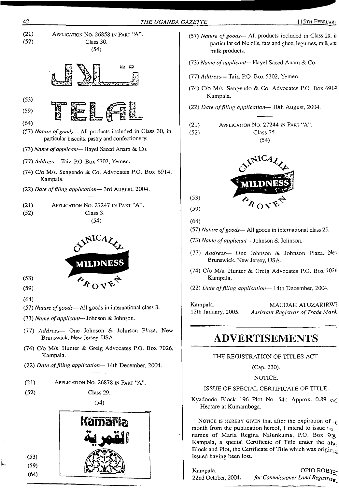

 $(53)$  $(59)$  $(64)$ 

<span id="page-1-0"></span>NOTICE IS HEREBY GIVEN that after the expiration of  $c$ month from the publication hereof, I intend to issue  $i<sub>n</sub>$ names of Maria Regina Nalunkuma, P.O. Box 93 Kampala, a special Certificate of Title under the  $a_{\mathbf{b}}$ . Block and Plot, the Certificate of Title which was origin  $\overline{z}$ issued having been lost.

Kampala, OPIO ROB F 22nd October, 2004. *for Commissioner Land Registry\**